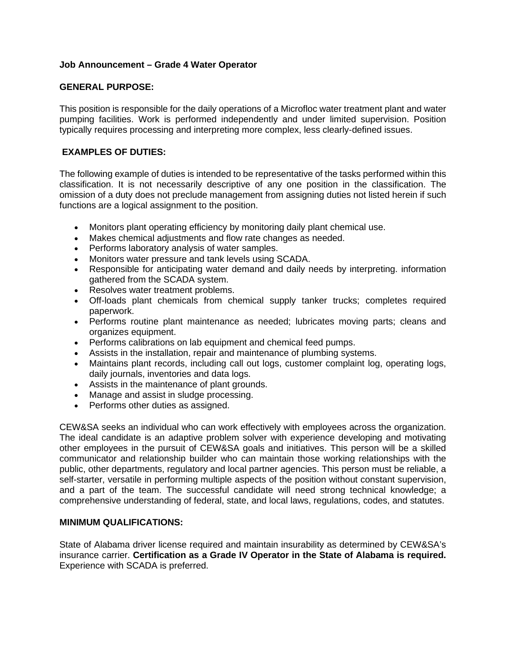# **Job Announcement – Grade 4 Water Operator**

## **GENERAL PURPOSE:**

This position is responsible for the daily operations of a Microfloc water treatment plant and water pumping facilities. Work is performed independently and under limited supervision. Position typically requires processing and interpreting more complex, less clearly-defined issues.

# **EXAMPLES OF DUTIES:**

The following example of duties is intended to be representative of the tasks performed within this classification. It is not necessarily descriptive of any one position in the classification. The omission of a duty does not preclude management from assigning duties not listed herein if such functions are a logical assignment to the position.

- Monitors plant operating efficiency by monitoring daily plant chemical use.
- Makes chemical adjustments and flow rate changes as needed.
- Performs laboratory analysis of water samples.
- Monitors water pressure and tank levels using SCADA.
- Responsible for anticipating water demand and daily needs by interpreting. information gathered from the SCADA system.
- Resolves water treatment problems.
- Off-loads plant chemicals from chemical supply tanker trucks; completes required paperwork.
- Performs routine plant maintenance as needed; lubricates moving parts; cleans and organizes equipment.
- Performs calibrations on lab equipment and chemical feed pumps.
- Assists in the installation, repair and maintenance of plumbing systems.
- Maintains plant records, including call out logs, customer complaint log, operating logs, daily journals, inventories and data logs.
- Assists in the maintenance of plant grounds.
- Manage and assist in sludge processing.
- Performs other duties as assigned.

CEW&SA seeks an individual who can work effectively with employees across the organization. The ideal candidate is an adaptive problem solver with experience developing and motivating other employees in the pursuit of CEW&SA goals and initiatives. This person will be a skilled communicator and relationship builder who can maintain those working relationships with the public, other departments, regulatory and local partner agencies. This person must be reliable, a self-starter, versatile in performing multiple aspects of the position without constant supervision, and a part of the team. The successful candidate will need strong technical knowledge; a comprehensive understanding of federal, state, and local laws, regulations, codes, and statutes.

### **MINIMUM QUALIFICATIONS:**

State of Alabama driver license required and maintain insurability as determined by CEW&SA's insurance carrier. **Certification as a Grade IV Operator in the State of Alabama is required.** Experience with SCADA is preferred.